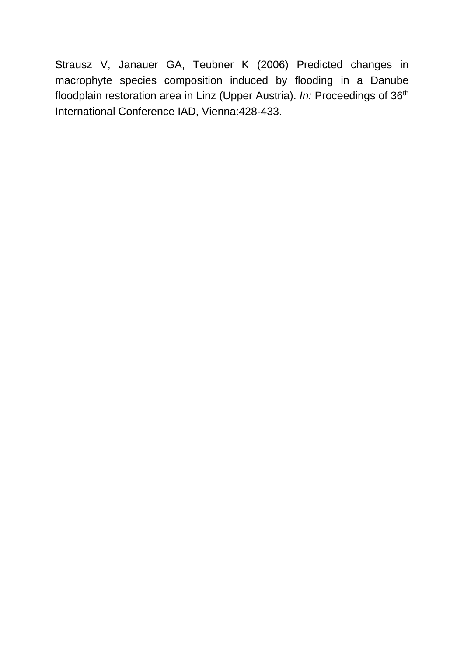Strausz V, Janauer GA, Teubner K (2006) Predicted changes in macrophyte species composition induced by flooding in a Danube floodplain restoration area in Linz (Upper Austria). *In:* Proceedings of 36th International Conference IAD, Vienna:428-433.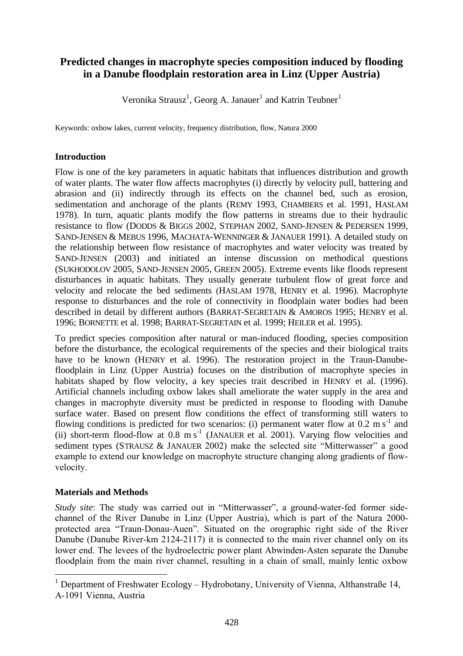# **Predicted changes in macrophyte species composition induced by flooding in a Danube floodplain restoration area in Linz (Upper Austria)**

Veronika Strausz<sup>1</sup>, Georg A. Janauer<sup>1</sup> and Katrin Teubner<sup>1</sup>

Keywords: oxbow lakes, current velocity, frequency distribution, flow, Natura 2000

## **Introduction**

Flow is one of the key parameters in aquatic habitats that influences distribution and growth of water plants. The water flow affects macrophytes (i) directly by velocity pull, battering and abrasion and (ii) indirectly through its effects on the channel bed, such as erosion, sedimentation and anchorage of the plants (REMY 1993, CHAMBERS et al. 1991, HASLAM 1978). In turn, aquatic plants modify the flow patterns in streams due to their hydraulic resistance to flow (DODDS & BIGGS 2002, STEPHAN 2002, SAND-JENSEN & PEDERSEN 1999, SAND-JENSEN & MEBUS 1996, MACHATA-WENNINGER & JANAUER 1991). A detailed study on the relationship between flow resistance of macrophytes and water velocity was treated by SAND-JENSEN (2003) and initiated an intense discussion on methodical questions (SUKHODOLOV 2005, SAND-JENSEN 2005, GREEN 2005). Extreme events like floods represent disturbances in aquatic habitats. They usually generate turbulent flow of great force and velocity and relocate the bed sediments (HASLAM 1978, HENRY et al. 1996). Macrophyte response to disturbances and the role of connectivity in floodplain water bodies had been described in detail by different authors (BARRAT-SEGRETAIN & AMOROS 1995; HENRY et al. 1996; BORNETTE et al. 1998; BARRAT-SEGRETAIN et al. 1999; HEILER et al. 1995).

To predict species composition after natural or man-induced flooding, species composition before the disturbance, the ecological requirements of the species and their biological traits have to be known (HENRY et al. 1996). The restoration project in the Traun-Danubefloodplain in Linz (Upper Austria) focuses on the distribution of macrophyte species in habitats shaped by flow velocity, a key species trait described in HENRY et al. (1996). Artificial channels including oxbow lakes shall ameliorate the water supply in the area and changes in macrophyte diversity must be predicted in response to flooding with Danube surface water. Based on present flow conditions the effect of transforming still waters to flowing conditions is predicted for two scenarios: (i) permanent water flow at  $0.2 \text{ m s}^{-1}$  and (ii) short-term flood-flow at  $0.8 \text{ m s}^{-1}$  (JANAUER et al. 2001). Varying flow velocities and sediment types (STRAUSZ & JANAUER 2002) make the selected site "Mitterwasser" a good example to extend our knowledge on macrophyte structure changing along gradients of flowvelocity.

## **Materials and Methods**

*Study site*: The study was carried out in "Mitterwasser", a ground-water-fed former sidechannel of the River Danube in Linz (Upper Austria), which is part of the Natura 2000 protected area "Traun-Donau-Auen". Situated on the orographic right side of the River Danube (Danube River-km 2124-2117) it is connected to the main river channel only on its lower end. The levees of the hydroelectric power plant Abwinden-Asten separate the Danube floodplain from the main river channel, resulting in a chain of small, mainly lentic oxbow

<sup>&</sup>lt;sup>1</sup> Department of Freshwater Ecology – Hydrobotany, University of Vienna, Althanstraße 14, A-1091 Vienna, Austria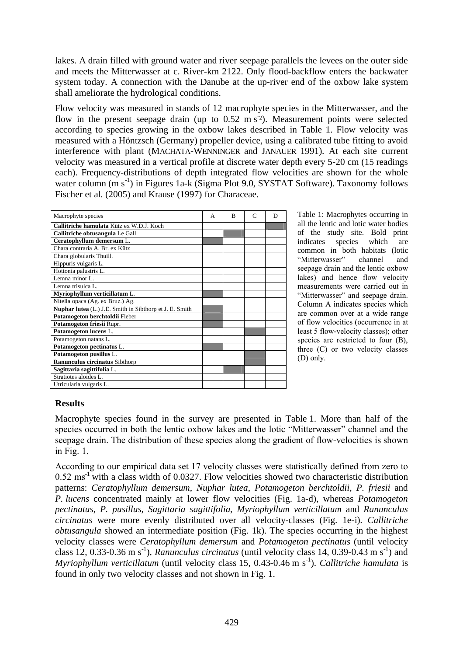lakes. A drain filled with ground water and river seepage parallels the levees on the outer side and meets the Mitterwasser at c. River-km 2122. Only flood-backflow enters the backwater system today. A connection with the Danube at the up-river end of the oxbow lake system shall ameliorate the hydrological conditions.

Flow velocity was measured in stands of 12 macrophyte species in the Mitterwasser, and the flow in the present seepage drain (up to  $0.52 \text{ m s}^2$ ). Measurement points were selected according to species growing in the oxbow lakes described in Table 1. Flow velocity was measured with a Höntzsch (Germany) propeller device, using a calibrated tube fitting to avoid interference with plant (MACHATA-WENNINGER and JANAUER 1991). At each site current velocity was measured in a vertical profile at discrete water depth every 5-20 cm (15 readings each). Frequency-distributions of depth integrated flow velocities are shown for the whole water column (m s<sup>-1</sup>) in Figures 1a-k (Sigma Plot 9.0, SYSTAT Software). Taxonomy follows Fischer et al. (2005) and Krause (1997) for Characeae.

| Macrophyte species                                      | A | R | $\mathsf{C}$ | D |
|---------------------------------------------------------|---|---|--------------|---|
| Callitriche hamulata Kütz ex W.D.J. Koch                |   |   |              |   |
| Callitriche obtusangula Le Gall                         |   |   |              |   |
| Ceratophyllum demersum L.                               |   |   |              |   |
| Chara contraria A. Br. ex Kütz                          |   |   |              |   |
| Chara globularis Thuill.                                |   |   |              |   |
| Hippuris vulgaris L.                                    |   |   |              |   |
| Hottonia palustris L.                                   |   |   |              |   |
| Lemna minor L.                                          |   |   |              |   |
| Lemna trisulca L.                                       |   |   |              |   |
| Myriophyllum verticillatum L.                           |   |   |              |   |
| Nitella opaca (Ag. ex Bruz.) Ag.                        |   |   |              |   |
| Nuphar lutea (L.) J.E. Smith in Sibthorp et J. E. Smith |   |   |              |   |
| Potamogeton berchtoldii Fieber                          |   |   |              |   |
| Potamogeton friesii Rupr.                               |   |   |              |   |
| Potamogeton lucens L.                                   |   |   |              |   |
| Potamogeton natans L.                                   |   |   |              |   |
| Potamogeton pectinatus L.                               |   |   |              |   |
| Potamogeton pusillus L.                                 |   |   |              |   |
| Ranunculus circinatus Sibthorp                          |   |   |              |   |
| Sagittaria sagittifolia L.                              |   |   |              |   |
| Stratiotes aloides L.                                   |   |   |              |   |
| Utricularia vulgaris L.                                 |   |   |              |   |

Table 1: Macrophytes occurring in all the lentic and lotic water bodies of the study site. Bold print indicates species which are common in both habitats (lotic "Mitterwasser" channel and seepage drain and the lentic oxbow lakes) and hence flow velocity measurements were carried out in "Mitterwasser" and seepage drain. Column A indicates species which are common over at a wide range of flow velocities (occurrence in at least 5 flow-velocity classes); other species are restricted to four (B), three (C) or two velocity classes (D) only.

## **Results**

Macrophyte species found in the survey are presented in Table 1. More than half of the species occurred in both the lentic oxbow lakes and the lotic "Mitterwasser" channel and the seepage drain. The distribution of these species along the gradient of flow-velocities is shown in Fig. 1.

According to our empirical data set 17 velocity classes were statistically defined from zero to  $0.52 \text{ ms}^{-1}$  with a class width of 0.0327. Flow velocities showed two characteristic distribution patterns: *Ceratophyllum demersum*, *Nuphar lutea*, *Potamogeton berchtoldii*, *P. friesii* and *P. lucens* concentrated mainly at lower flow velocities (Fig. 1a-d), whereas *Potamogeton pectinatus*, *P. pusillus*, *Sagittaria sagittifolia*, *Myriophyllum verticillatum* and *Ranunculus circinatus* were more evenly distributed over all velocity-classes (Fig. 1e-i). *Callitriche obtusangula* showed an intermediate position (Fig. 1k). The species occurring in the highest velocity classes were *Ceratophyllum demersum* and *Potamogeton pectinatus* (until velocity class 12, 0.33-0.36 m s<sup>-1</sup>), *Ranunculus circinatus* (until velocity class 14, 0.39-0.43 m s<sup>-1</sup>) and Myriophyllum verticillatum (until velocity class 15, 0.43-0.46 m s<sup>-1</sup>). *Callitriche hamulata* is found in only two velocity classes and not shown in Fig. 1.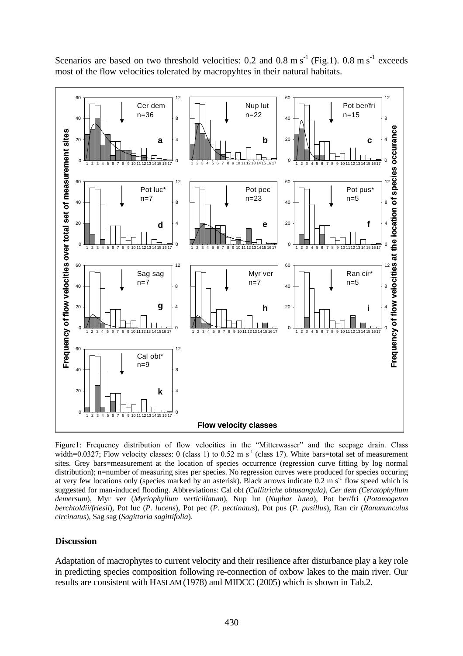

Scenarios are based on two threshold velocities: 0.2 and 0.8 m  $s^{-1}$  (Fig.1). 0.8 m  $s^{-1}$  exceeds most of the flow velocities tolerated by macropyhtes in their natural habitats.

Figure1: Frequency distribution of flow velocities in the "Mitterwasser" and the seepage drain. Class width=0.0327; Flow velocity classes: 0 (class 1) to 0.52 m s<sup>-1</sup> (class 17). White bars=total set of measurement sites. Grey bars=measurement at the location of species occurrence (regression curve fitting by log normal distribution); n=number of measuring sites per species. No regression curves were produced for species occuring at very few locations only (species marked by an asterisk). Black arrows indicate  $0.2 \text{ m s}^{-1}$  flow speed which is suggested for man-induced flooding. Abbreviations: Cal obt *(Callitriche obtusangula), Cer dem (Ceratophyllum demersum*), Myr ver (*Myriophyllum verticillatum*), Nup lut (*Nuphar lutea*), Pot ber/fri (*Potamogeton berchtoldii/friesii*), Pot luc (*P. lucens*), Pot pec (*P. pectinatus*), Pot pus (*P. pusillus*), Ran cir (*Ranununculus circinatus*), Sag sag (*Sagittaria sagittifolia*).

#### **Discussion**

Adaptation of macrophytes to current velocity and their resilience after disturbance play a key role in predicting species composition following re-connection of oxbow lakes to the main river. Our results are consistent with HASLAM (1978) and MIDCC (2005) which is shown in Tab.2.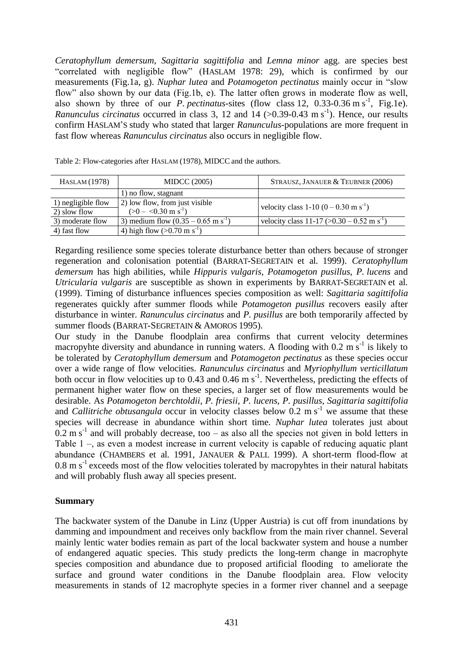*Ceratophyllum demersum*, *Sagittaria sagittifolia* and *Lemna minor* agg. are species best "correlated with negligible flow" (HASLAM 1978: 29), which is confirmed by our measurements (Fig.1a, g). *Nuphar lutea* and *Potamogeton pectinatus* mainly occur in "slow flow" also shown by our data (Fig.1b, e). The latter often grows in moderate flow as well, also shown by three of our *P. pectinatus*-sites (flow class 12,  $0.33{\text -}0.36 \text{ m s}^{-1}$ , Fig.1e). *Ranunculus circinatus* occurred in class 3, 12 and 14  $(>0.39$ -0.43 m s<sup>-1</sup>). Hence, our results confirm HASLAM'S study who stated that larger *Ranunculus*-populations are more frequent in fast flow whereas *Ranunculus circinatus* also occurs in negligible flow.

| HASLAM (1978)                      | <b>MIDCC</b> (2005)                                              | STRAUSZ, JANAUER & TEUBNER (2006)                          |
|------------------------------------|------------------------------------------------------------------|------------------------------------------------------------|
|                                    | 1) no flow, stagnant                                             |                                                            |
| 1) negligible flow<br>2) slow flow | 2) low flow, from just visible<br>$(>0 - 0.30 \text{ m s}^{-1})$ | velocity class 1-10 $(0 - 0.30 \text{ m s}^{-1})$          |
| 3) moderate flow                   | 3) medium flow $(0.35 - 0.65 \text{ m s}^{-1})$                  | velocity class 11-17 ( $> 0.30 - 0.52$ m s <sup>-1</sup> ) |
| 4) fast flow                       | 4) high flow $(>0.70 \text{ m s}^{-1})$                          |                                                            |

Table 2: Flow-categories after HASLAM (1978), MIDCC and the authors.

Regarding resilience some species tolerate disturbance better than others because of stronger regeneration and colonisation potential (BARRAT-SEGRETAIN et al. 1999). *Ceratophyllum demersum* has high abilities, while *Hippuris vulgaris*, *Potamogeton pusillus*, *P. lucens* and *Utricularia vulgaris* are susceptible as shown in experiments by BARRAT-SEGRETAIN et al. (1999). Timing of disturbance influences species composition as well: *Sagittaria sagittifolia* regenerates quickly after summer floods while *Potamogeton pusillus* recovers easily after disturbance in winter. *Ranunculus circinatus* and *P. pusillus* are both temporarily affected by summer floods (BARRAT-SEGRETAIN & AMOROS 1995).

Our study in the Danube floodplain area confirms that current velocity determines macropyhte diversity and abundance in running waters. A flooding with  $0.2 \text{ m s}^{-1}$  is likely to be tolerated by *Ceratophyllum demersum* and *Potamogeton pectinatus* as these species occur over a wide range of flow velocities. *Ranunculus circinatus* and *Myriophyllum verticillatum* both occur in flow velocities up to 0.43 and 0.46 m  $s^{-1}$ . Nevertheless, predicting the effects of permanent higher water flow on these species, a larger set of flow measurements would be desirable. As *Potamogeton berchtoldii*, *P. friesii*, *P. lucens*, *P. pusillus*, *Sagittaria sagittifolia* and *Callitriche obtusangula* occur in velocity classes below  $0.2 \text{ m s}^{-1}$  we assume that these species will decrease in abundance within short time. *Nuphar lutea* tolerates just about  $0.2 \text{ m s}^{-1}$  and will probably decrease, too – as also all the species not given in bold letters in Table 1 –, as even a modest increase in current velocity is capable of reducing aquatic plant abundance (CHAMBERS et al. 1991, JANAUER & PALL 1999). A short-term flood-flow at  $0.8 \text{ m s}^{-1}$  exceeds most of the flow velocities tolerated by macropyhtes in their natural habitats and will probably flush away all species present.

## **Summary**

The backwater system of the Danube in Linz (Upper Austria) is cut off from inundations by damming and impoundment and receives only backflow from the main river channel. Several mainly lentic water bodies remain as part of the local backwater system and house a number of endangered aquatic species. This study predicts the long-term change in macrophyte species composition and abundance due to proposed artificial flooding to ameliorate the surface and ground water conditions in the Danube floodplain area. Flow velocity measurements in stands of 12 macrophyte species in a former river channel and a seepage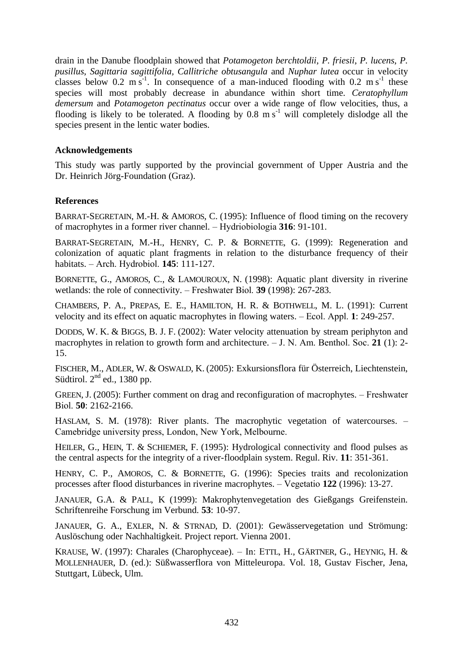drain in the Danube floodplain showed that *Potamogeton berchtoldii*, *P. friesii*, *P. lucens*, *P. pusillus*, *Sagittaria sagittifolia, Callitriche obtusangula* and *Nuphar lutea* occur in velocity classes below 0.2 m s<sup>-1</sup>. In consequence of a man-induced flooding with 0.2 m s<sup>-1</sup> these species will most probably decrease in abundance within short time. *Ceratophyllum demersum* and *Potamogeton pectinatus* occur over a wide range of flow velocities, thus, a flooding is likely to be tolerated. A flooding by  $0.8 \text{ m s}^{-1}$  will completely dislodge all the species present in the lentic water bodies.

## **Acknowledgements**

This study was partly supported by the provincial government of Upper Austria and the Dr. Heinrich Jörg-Foundation (Graz).

## **References**

BARRAT-SEGRETAIN, M.-H. & AMOROS, C. (1995): Influence of flood timing on the recovery of macrophytes in a former river channel. – Hydriobiologia **316**: 91-101.

BARRAT-SEGRETAIN, M.-H., HENRY, C. P. & BORNETTE, G. (1999): Regeneration and colonization of aquatic plant fragments in relation to the disturbance frequency of their habitats. – Arch. Hydrobiol. **145**: 111-127.

BORNETTE, G., AMOROS, C., & LAMOUROUX, N. (1998): Aquatic plant diversity in riverine wetlands: the role of connectivity. – Freshwater Biol. **39** (1998): 267-283.

CHAMBERS, P. A., PREPAS, E. E., HAMILTON, H. R. & BOTHWELL, M. L. (1991): Current velocity and its effect on aquatic macrophytes in flowing waters. – Ecol. Appl. **1**: 249-257.

DODDS, W. K. & BIGGS, B. J. F. (2002): Water velocity attenuation by stream periphyton and macrophytes in relation to growth form and architecture. – J. N. Am. Benthol. Soc. **21** (1): 2- 15.

FISCHER, M., ADLER, W. & OSWALD, K. (2005): Exkursionsflora für Österreich, Liechtenstein, Südtirol.  $2<sup>nd</sup>$  ed., 1380 pp.

GREEN, J. (2005): Further comment on drag and reconfiguration of macrophytes. – Freshwater Biol. **50**: 2162-2166.

HASLAM, S. M. (1978): River plants. The macrophytic vegetation of watercourses. – Camebridge university press, London, New York, Melbourne.

HEILER, G., HEIN, T. & SCHIEMER, F. (1995): Hydrological connectivity and flood pulses as the central aspects for the integrity of a river-floodplain system. Regul. Riv. **11**: 351-361.

HENRY, C. P., AMOROS, C. & BORNETTE, G. (1996): Species traits and recolonization processes after flood disturbances in riverine macrophytes. – Vegetatio **122** (1996): 13-27.

JANAUER, G.A. & PALL, K (1999): Makrophytenvegetation des Gießgangs Greifenstein. Schriftenreihe Forschung im Verbund. **53**: 10-97.

JANAUER, G. A., EXLER, N. & STRNAD, D. (2001): Gewässervegetation und Strömung: Auslöschung oder Nachhaltigkeit. Project report. Vienna 2001.

KRAUSE, W. (1997): Charales (Charophyceae). – In: ETTL, H., GÄRTNER, G., HEYNIG, H. & MOLLENHAUER, D. (ed.): Süßwasserflora von Mitteleuropa. Vol. 18, Gustav Fischer, Jena, Stuttgart, Lübeck, Ulm.